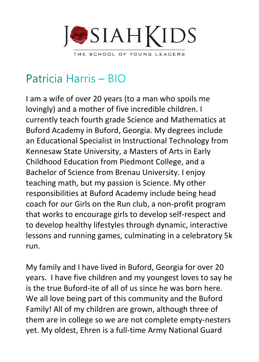

## Patricia Harris - BIO

I am a wife of over 20 years (to a man who spoils me lovingly) and a mother of five incredible children. I currently teach fourth grade Science and Mathematics at Buford Academy in Buford, Georgia. My degrees include an Educational Specialist in Instructional Technology from Kennesaw State University, a Masters of Arts in Early Childhood Education from Piedmont College, and a Bachelor of Science from Brenau University. I enjoy teaching math, but my passion is Science. My other responsibilities at Buford Academy include being head coach for our Girls on the Run club, a non-profit program that works to encourage girls to develop self-respect and to develop healthy lifestyles through dynamic, interactive lessons and running games, culminating in a celebratory 5k run.

My family and I have lived in Buford, Georgia for over 20 years. I have five children and my youngest loves to say he is the true Buford-ite of all of us since he was born here. We all love being part of this community and the Buford Family! All of my children are grown, although three of them are in college so we are not complete empty-nesters yet. My oldest, Ehren is a full-time Army National Guard